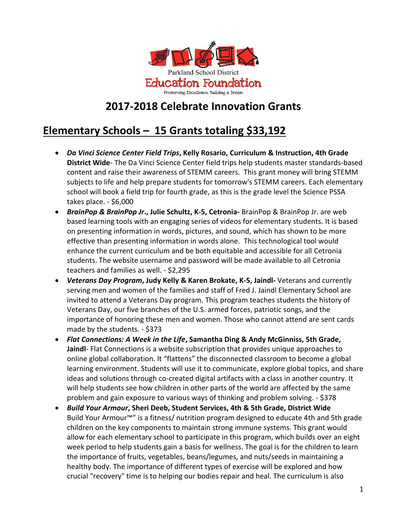

### **2017-2018 Celebrate Innovation Grants**

## **Elementary Schools – 15 Grants totaling \$33,192**

- *Da Vinci Science Center Field Trips***, Kelly Rosario, Curriculum & Instruction, 4th Grade District Wide**- The Da Vinci Science Center field trips help students master standards-based content and raise their awareness of STEMM careers. This grant money will bring STEMM subjects to life and help prepare students for tomorrow's STEMM careers. Each elementary school will book a field trip for fourth grade, as this is the grade level the Science PSSA takes place. - \$6,000
- *BrainPop & BrainPop Jr***., Julie Schultz, K-5, Cetronia-** BrainPop & BrainPop Jr. are web based learning tools with an engaging series of videos for elementary students. It is based on presenting information in words, pictures, and sound, which has shown to be more effective than presenting information in words alone. This technological tool would enhance the current curriculum and be both equitable and accessible for all Cetronia students. The website username and password will be made available to all Cetronia teachers and families as well. - \$2,295
- *Veterans Day Program***, Judy Kelly & Karen Brokate, K-5, Jaindl-** Veterans and currently serving men and women of the families and staff of Fred J. Jaindl Elementary School are invited to attend a Veterans Day program. This program teaches students the history of Veterans Day, our five branches of the U.S. armed forces, patriotic songs, and the importance of honoring these men and women. Those who cannot attend are sent cards made by the students. - \$373
- *Flat Connections: A Week in the Life***, Samantha Ding & Andy McGinniss, 5th Grade, Jaindl**- Flat Connections is a website subscription that provides unique approaches to online global collaboration. It "flattens" the disconnected classroom to become a global learning environment. Students will use it to communicate, explore global topics, and share ideas and solutions through co-created digital artifacts with a class in another country. It will help students see how children in other parts of the world are affected by the same problem and gain exposure to various ways of thinking and problem solving. - \$378
- *Build Your Armour***, Sheri Deeb, Student Services, 4th & 5th Grade, District Wide** Build Your Armour™" is a fitness/ nutrition program designed to educate 4th and 5th grade children on the key components to maintain strong immune systems. This grant would allow for each elementary school to participate in this program, which builds over an eight week period to help students gain a basis for wellness. The goal is for the children to learn the importance of fruits, vegetables, beans/legumes, and nuts/seeds in maintaining a healthy body. The importance of different types of exercise will be explored and how crucial "recovery" time is to helping our bodies repair and heal. The curriculum is also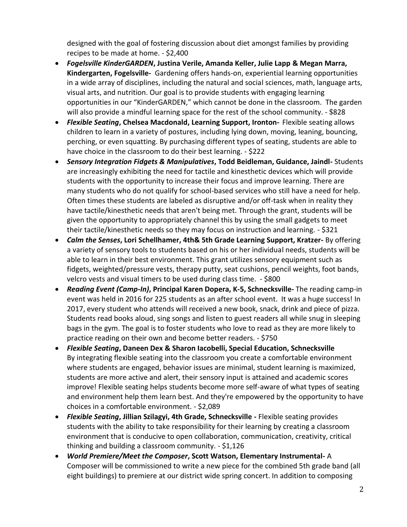designed with the goal of fostering discussion about diet amongst families by providing recipes to be made at home. - \$2,400

- *Fogelsville KinderGARDEN***, Justina Verile, Amanda Keller, Julie Lapp & Megan Marra, Kindergarten, Fogelsville-** Gardening offers hands-on, experiential learning opportunities in a wide array of disciplines, including the natural and social sciences, math, language arts, visual arts, and nutrition. Our goal is to provide students with engaging learning opportunities in our "KinderGARDEN," which cannot be done in the classroom. The garden will also provide a mindful learning space for the rest of the school community. - \$828
- *Flexible Seating***, Chelsea Macdonald, Learning Support, Ironton-** Flexible seating allows children to learn in a variety of postures, including lying down, moving, leaning, bouncing, perching, or even squatting. By purchasing different types of seating, students are able to have choice in the classroom to do their best learning. - \$222
- *Sensory Integration Fidgets & Manipulatives***, Todd Beidleman, Guidance, Jaindl-** Students are increasingly exhibiting the need for tactile and kinesthetic devices which will provide students with the opportunity to increase their focus and improve learning. There are many students who do not qualify for school-based services who still have a need for help. Often times these students are labeled as disruptive and/or off-task when in reality they have tactile/kinesthetic needs that aren't being met. Through the grant, students will be given the opportunity to appropriately channel this by using the small gadgets to meet their tactile/kinesthetic needs so they may focus on instruction and learning. - \$321
- *Calm the Senses***, Lori Schellhamer, 4th& 5th Grade Learning Support, Kratzer-** By offering a variety of sensory tools to students based on his or her individual needs, students will be able to learn in their best environment. This grant utilizes sensory equipment such as fidgets, weighted/pressure vests, therapy putty, seat cushions, pencil weights, foot bands, velcro vests and visual timers to be used during class time. - \$800
- *Reading Event (Camp-In)***, Principal Karen Dopera, K-5, Schnecksville-** The reading camp-in event was held in 2016 for 225 students as an after school event. It was a huge success! In 2017, every student who attends will received a new book, snack, drink and piece of pizza. Students read books aloud, sing songs and listen to guest readers all while snug in sleeping bags in the gym. The goal is to foster students who love to read as they are more likely to practice reading on their own and become better readers. - \$750
- *Flexible Seating***, Daneen Dex & Sharon Iacobelli, Special Education, Schnecksville** By integrating flexible seating into the classroom you create a comfortable environment where students are engaged, behavior issues are minimal, student learning is maximized, students are more active and alert, their sensory input is attained and academic scores improve! Flexible seating helps students become more self-aware of what types of seating and environment help them learn best. And they're empowered by the opportunity to have choices in a comfortable environment. - \$2,089
- *Flexible Seating***, Jillian Szilagyi, 4th Grade, Schnecksville -** Flexible seating provides students with the ability to take responsibility for their learning by creating a classroom environment that is conducive to open collaboration, communication, creativity, critical thinking and building a classroom community. - \$1,126
- *World Premiere/Meet the Composer***, Scott Watson, Elementary Instrumental-** A Composer will be commissioned to write a new piece for the combined 5th grade band (all eight buildings) to premiere at our district wide spring concert. In addition to composing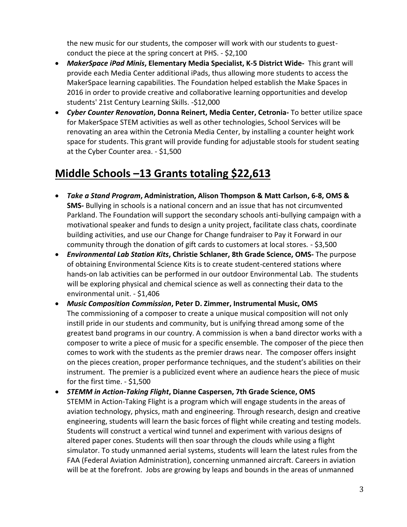the new music for our students, the composer will work with our students to guestconduct the piece at the spring concert at PHS. - \$2,100

- *MakerSpace iPad Minis***, Elementary Media Specialist, K-5 District Wide-** This grant will provide each Media Center additional iPads, thus allowing more students to access the MakerSpace learning capabilities. The Foundation helped establish the Make Spaces in 2016 in order to provide creative and collaborative learning opportunities and develop students' 21st Century Learning Skills. -\$12,000
- *Cyber Counter Renovation***, Donna Reinert, Media Center, Cetronia-** To better utilize space for MakerSpace STEM activities as well as other technologies, School Services will be renovating an area within the Cetronia Media Center, by installing a counter height work space for students. This grant will provide funding for adjustable stools for student seating at the Cyber Counter area. - \$1,500

## **Middle Schools –13 Grants totaling \$22,613**

- *Take a Stand Program***, Administration, Alison Thompson & Matt Carlson, 6-8, OMS & SMS-** Bullying in schools is a national concern and an issue that has not circumvented Parkland. The Foundation will support the secondary schools anti-bullying campaign with a motivational speaker and funds to design a unity project, facilitate class chats, coordinate building activities, and use our Change for Change fundraiser to Pay it Forward in our community through the donation of gift cards to customers at local stores. - \$3,500
- *Environmental Lab Station Kits***, Christie Schlaner, 8th Grade Science, OMS-** The purpose of obtaining Environmental Science Kits is to create student-centered stations where hands-on lab activities can be performed in our outdoor Environmental Lab. The students will be exploring physical and chemical science as well as connecting their data to the environmental unit. - \$1,406
- *Music Composition Commission***, Peter D. Zimmer, Instrumental Music, OMS** The commissioning of a composer to create a unique musical composition will not only instill pride in our students and community, but is unifying thread among some of the greatest band programs in our country. A commission is when a band director works with a composer to write a piece of music for a specific ensemble. The composer of the piece then comes to work with the students as the premier draws near. The composer offers insight on the pieces creation, proper performance techniques, and the student's abilities on their instrument. The premier is a publicized event where an audience hears the piece of music for the first time. - \$1,500
- *STEMM in Action-Taking Flight***, Dianne Caspersen, 7th Grade Science, OMS** STEMM in Action-Taking Flight is a program which will engage students in the areas of aviation technology, physics, math and engineering. Through research, design and creative engineering, students will learn the basic forces of flight while creating and testing models. Students will construct a vertical wind tunnel and experiment with various designs of altered paper cones. Students will then soar through the clouds while using a flight simulator. To study unmanned aerial systems, students will learn the latest rules from the FAA (Federal Aviation Administration), concerning unmanned aircraft. Careers in aviation will be at the forefront. Jobs are growing by leaps and bounds in the areas of unmanned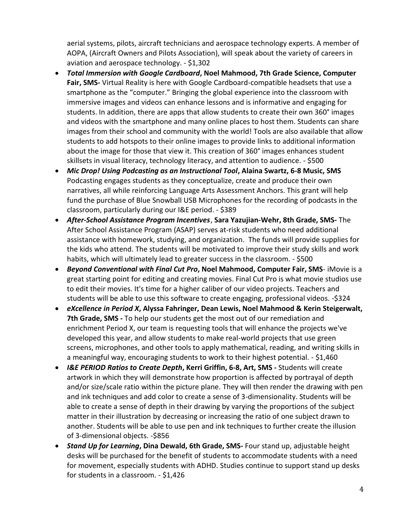aerial systems, pilots, aircraft technicians and aerospace technology experts. A member of AOPA, (Aircraft Owners and Pilots Association), will speak about the variety of careers in aviation and aerospace technology. - \$1,302

- *Total Immersion with Google Cardboard***, Noel Mahmood, 7th Grade Science, Computer Fair, SMS-** Virtual Reality is here with Google Cardboard-compatible headsets that use a smartphone as the "computer." Bringing the global experience into the classroom with immersive images and videos can enhance lessons and is informative and engaging for students. In addition, there are apps that allow students to create their own 360° images and videos with the smartphone and many online places to host them. Students can share images from their school and community with the world! Tools are also available that allow students to add hotspots to their online images to provide links to additional information about the image for those that view it. This creation of 360° images enhances student skillsets in visual literacy, technology literacy, and attention to audience. - \$500
- *Mic Drop! Using Podcasting as an Instructional Tool***, Alaina Swartz, 6-8 Music, SMS** Podcasting engages students as they conceptualize, create and produce their own narratives, all while reinforcing Language Arts Assessment Anchors. This grant will help fund the purchase of Blue Snowball USB Microphones for the recording of podcasts in the classroom, particularly during our I&E period. - \$389
- *After-School Assistance Program Incentives*, **Sara Yazujian-Wehr, 8th Grade, SMS-** The After School Assistance Program (ASAP) serves at-risk students who need additional assistance with homework, studying, and organization. The funds will provide supplies for the kids who attend. The students will be motivated to improve their study skills and work habits, which will ultimately lead to greater success in the classroom. - \$500
- *Beyond Conventional with Final Cut Pro***, Noel Mahmood, Computer Fair, SMS** iMovie is a great starting point for editing and creating movies. Final Cut Pro is what movie studios use to edit their movies. It's time for a higher caliber of our video projects. Teachers and students will be able to use this software to create engaging, professional videos. -\$324
- *eXcellence in Period X***, Alyssa Fahringer, Dean Lewis, Noel Mahmood & Kerin Steigerwalt, 7th Grade, SMS -** To help our students get the most out of our remediation and enrichment Period X, our team is requesting tools that will enhance the projects we've developed this year, and allow students to make real-world projects that use green screens, microphones, and other tools to apply mathematical, reading, and writing skills in a meaningful way, encouraging students to work to their highest potential. - \$1,460
- *I&E PERIOD Ratios to Create Depth***, Kerri Griffin, 6-8, Art, SMS -** Students will create artwork in which they will demonstrate how proportion is affected by portrayal of depth and/or size/scale ratio within the picture plane. They will then render the drawing with pen and ink techniques and add color to create a sense of 3-dimensionality. Students will be able to create a sense of depth in their drawing by varying the proportions of the subject matter in their illustration by decreasing or increasing the ratio of one subject drawn to another. Students will be able to use pen and ink techniques to further create the illusion of 3-dimensional objects. -\$856
- *Stand Up for Learning***, Dina Dewald, 6th Grade, SMS-** Four stand up, adjustable height desks will be purchased for the benefit of students to accommodate students with a need for movement, especially students with ADHD. Studies continue to support stand up desks for students in a classroom. - \$1,426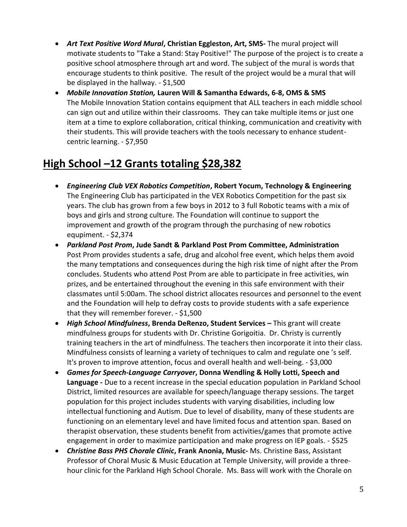- *Art Text Positive Word Mural***, Christian Eggleston, Art, SMS-** The mural project will motivate students to "Take a Stand: Stay Positive!" The purpose of the project is to create a positive school atmosphere through art and word. The subject of the mural is words that encourage students to think positive. The result of the project would be a mural that will be displayed in the hallway. - \$1,500
- *Mobile Innovation Station,* **Lauren Will & Samantha Edwards, 6-8, OMS & SMS** The Mobile Innovation Station contains equipment that ALL teachers in each middle school can sign out and utilize within their classrooms. They can take multiple items or just one item at a time to explore collaboration, critical thinking, communication and creativity with their students. This will provide teachers with the tools necessary to enhance studentcentric learning. - \$7,950

# **High School –12 Grants totaling \$28,382**

- *Engineering Club VEX Robotics Competition***, Robert Yocum, Technology & Engineering** The Engineering Club has participated in the VEX Robotics Competition for the past six years. The club has grown from a few boys in 2012 to 3 full Robotic teams with a mix of boys and girls and strong culture. The Foundation will continue to support the improvement and growth of the program through the purchasing of new robotics equpiment. - \$2,374
- *Parkland Post Prom***, Jude Sandt & Parkland Post Prom Committee, Administration** Post Prom provides students a safe, drug and alcohol free event, which helps them avoid the many temptations and consequences during the high risk time of night after the Prom concludes. Students who attend Post Prom are able to participate in free activities, win prizes, and be entertained throughout the evening in this safe environment with their classmates until 5:00am. The school district allocates resources and personnel to the event and the Foundation will help to defray costs to provide students with a safe experience that they will remember forever. - \$1,500
- *High School Mindfulness***, Brenda DeRenzo, Student Services –** This grant will create mindfulness groups for students with Dr. Christine Gorigoitia. Dr. Christy is currently training teachers in the art of mindfulness. The teachers then incorporate it into their class. Mindfulness consists of learning a variety of techniques to calm and regulate one 's self. It's proven to improve attention, focus and overall health and well-being. - \$3,000
- *Games for Speech-Language Carryover***, Donna Wendling & Holly Lotti, Speech and Language -** Due to a recent increase in the special education population in Parkland School District, limited resources are available for speech/language therapy sessions. The target population for this project includes students with varying disabilities, including low intellectual functioning and Autism. Due to level of disability, many of these students are functioning on an elementary level and have limited focus and attention span. Based on therapist observation, these students benefit from activities/games that promote active engagement in order to maximize participation and make progress on IEP goals. - \$525
- *Christine Bass PHS Chorale Clinic***, Frank Anonia, Music-** Ms. Christine Bass, Assistant Professor of Choral Music & Music Education at Temple University, will provide a threehour clinic for the Parkland High School Chorale. Ms. Bass will work with the Chorale on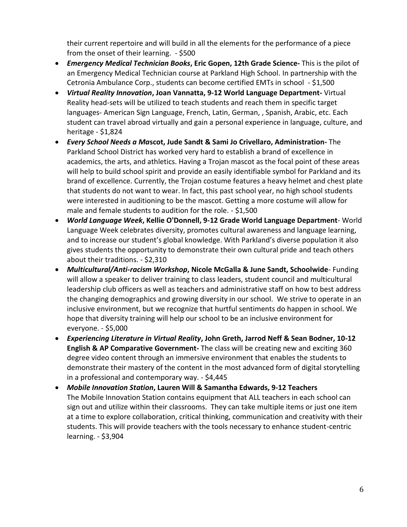their current repertoire and will build in all the elements for the performance of a piece from the onset of their learning. - \$500

- *Emergency Medical Technician Books***, Eric Gopen, 12th Grade Science-** This is the pilot of an Emergency Medical Technician course at Parkland High School. In partnership with the Cetronia Ambulance Corp., students can become certified EMTs in school - \$1,500
- *Virtual Reality Innovation***, Joan Vannatta, 9-12 World Language Department-** Virtual Reality head-sets will be utilized to teach students and reach them in specific target languages- American Sign Language, French, Latin, German, , Spanish, Arabic, etc. Each student can travel abroad virtually and gain a personal experience in language, culture, and heritage - \$1,824
- *Every School Needs a Ma***scot, Jude Sandt & Sami Jo Crivellaro, Administration-** The Parkland School District has worked very hard to establish a brand of excellence in academics, the arts, and athletics. Having a Trojan mascot as the focal point of these areas will help to build school spirit and provide an easily identifiable symbol for Parkland and its brand of excellence. Currently, the Trojan costume features a heavy helmet and chest plate that students do not want to wear. In fact, this past school year, no high school students were interested in auditioning to be the mascot. Getting a more costume will allow for male and female students to audition for the role. - \$1,500
- *World Language Week***, Kellie O'Donnell, 9-12 Grade World Language Department** World Language Week celebrates diversity, promotes cultural awareness and language learning, and to increase our student's global knowledge. With Parkland's diverse population it also gives students the opportunity to demonstrate their own cultural pride and teach others about their traditions. - \$2,310
- *Multicultural/Anti-racism Workshop***, Nicole McGalla & June Sandt, Schoolwide** Funding will allow a speaker to deliver training to class leaders, student council and multicultural leadership club officers as well as teachers and administrative staff on how to best address the changing demographics and growing diversity in our school. We strive to operate in an inclusive environment, but we recognize that hurtful sentiments do happen in school. We hope that diversity training will help our school to be an inclusive environment for everyone. - \$5,000
- *Experiencing Literature in Virtual Reality***, John Greth, Jarrod Neff & Sean Bodner, 10-12 English & AP Comparative Government-** The class will be creating new and exciting 360 degree video content through an immersive environment that enables the students to demonstrate their mastery of the content in the most advanced form of digital storytelling in a professional and contemporary way. - \$4,445
- *Mobile Innovation Station***, Lauren Will & Samantha Edwards, 9-12 Teachers** The Mobile Innovation Station contains equipment that ALL teachers in each school can sign out and utilize within their classrooms. They can take multiple items or just one item at a time to explore collaboration, critical thinking, communication and creativity with their students. This will provide teachers with the tools necessary to enhance student-centric learning. - \$3,904